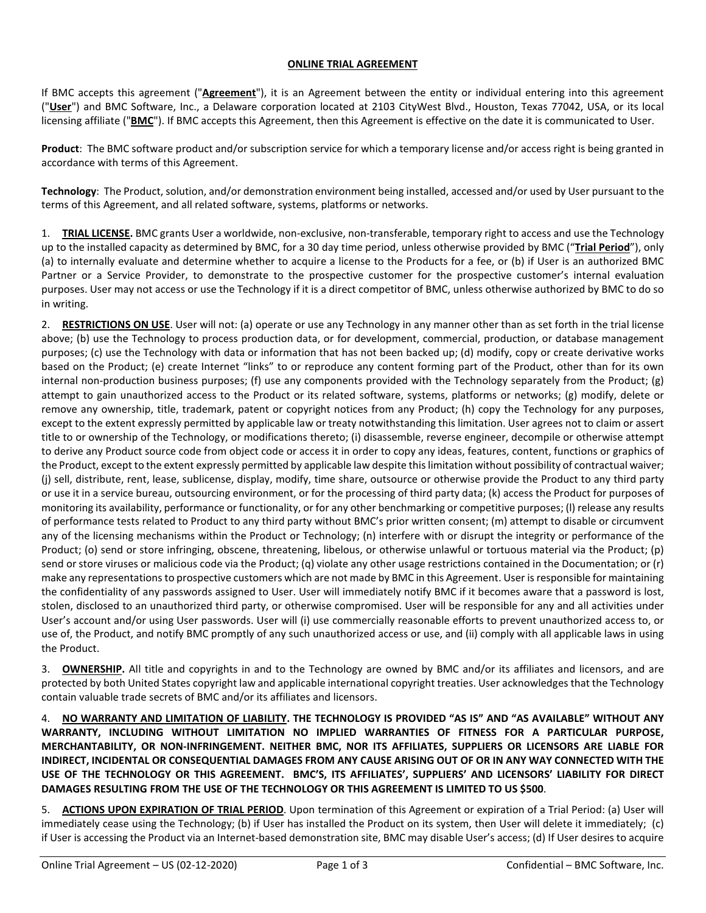## **ONLINE TRIAL AGREEMENT**

If BMC accepts this agreement ("**Agreement**"), it is an Agreement between the entity or individual entering into this agreement ("**User**") and BMC Software, Inc., a Delaware corporation located at 2103 CityWest Blvd., Houston, Texas 77042, USA, or its local licensing affiliate ("**BMC**"). If BMC accepts this Agreement, then this Agreement is effective on the date it is communicated to User.

**Product**: The BMC software product and/or subscription service for which a temporary license and/or access right is being granted in accordance with terms of this Agreement.

**Technology**: The Product, solution, and/or demonstration environment being installed, accessed and/or used by User pursuant to the terms of this Agreement, and all related software, systems, platforms or networks.

1. **TRIAL LICENSE.** BMC grants User a worldwide, non-exclusive, non-transferable, temporary right to access and use the Technology up to the installed capacity as determined by BMC, for a 30 day time period, unless otherwise provided by BMC ("**Trial Period**"), only (a) to internally evaluate and determine whether to acquire a license to the Products for a fee, or (b) if User is an authorized BMC Partner or a Service Provider, to demonstrate to the prospective customer for the prospective customer's internal evaluation purposes. User may not access or use the Technology if it is a direct competitor of BMC, unless otherwise authorized by BMC to do so in writing.

2. **RESTRICTIONS ON USE**. User will not: (a) operate or use any Technology in any manner other than as set forth in the trial license above; (b) use the Technology to process production data, or for development, commercial, production, or database management purposes; (c) use the Technology with data or information that has not been backed up; (d) modify, copy or create derivative works based on the Product; (e) create Internet "links" to or reproduce any content forming part of the Product, other than for its own internal non-production business purposes; (f) use any components provided with the Technology separately from the Product; (g) attempt to gain unauthorized access to the Product or its related software, systems, platforms or networks; (g) modify, delete or remove any ownership, title, trademark, patent or copyright notices from any Product; (h) copy the Technology for any purposes, except to the extent expressly permitted by applicable law or treaty notwithstanding this limitation. User agrees not to claim or assert title to or ownership of the Technology, or modifications thereto; (i) disassemble, reverse engineer, decompile or otherwise attempt to derive any Product source code from object code or access it in order to copy any ideas, features, content, functions or graphics of the Product, except to the extent expressly permitted by applicable law despite this limitation without possibility of contractual waiver; (j) sell, distribute, rent, lease, sublicense, display, modify, time share, outsource or otherwise provide the Product to any third party or use it in a service bureau, outsourcing environment, or for the processing of third party data; (k) access the Product for purposes of monitoring its availability, performance or functionality, or for any other benchmarking or competitive purposes; (l) release any results of performance tests related to Product to any third party without BMC's prior written consent; (m) attempt to disable or circumvent any of the licensing mechanisms within the Product or Technology; (n) interfere with or disrupt the integrity or performance of the Product; (o) send or store infringing, obscene, threatening, libelous, or otherwise unlawful or tortuous material via the Product; (p) send or store viruses or malicious code via the Product; (q) violate any other usage restrictions contained in the Documentation; or (r) make any representations to prospective customers which are not made by BMC in this Agreement. User is responsible for maintaining the confidentiality of any passwords assigned to User. User will immediately notify BMC if it becomes aware that a password is lost, stolen, disclosed to an unauthorized third party, or otherwise compromised. User will be responsible for any and all activities under User's account and/or using User passwords. User will (i) use commercially reasonable efforts to prevent unauthorized access to, or use of, the Product, and notify BMC promptly of any such unauthorized access or use, and (ii) comply with all applicable laws in using the Product.

3. **OWNERSHIP.** All title and copyrights in and to the Technology are owned by BMC and/or its affiliates and licensors, and are protected by both United States copyright law and applicable international copyright treaties. User acknowledges that the Technology contain valuable trade secrets of BMC and/or its affiliates and licensors.

4. **NO WARRANTY AND LIMITATION OF LIABILITY. THE TECHNOLOGY IS PROVIDED "AS IS" AND "AS AVAILABLE" WITHOUT ANY WARRANTY, INCLUDING WITHOUT LIMITATION NO IMPLIED WARRANTIES OF FITNESS FOR A PARTICULAR PURPOSE, MERCHANTABILITY, OR NON-INFRINGEMENT. NEITHER BMC, NOR ITS AFFILIATES, SUPPLIERS OR LICENSORS ARE LIABLE FOR INDIRECT, INCIDENTAL OR CONSEQUENTIAL DAMAGES FROM ANY CAUSE ARISING OUT OF OR IN ANY WAY CONNECTED WITH THE USE OF THE TECHNOLOGY OR THIS AGREEMENT. BMC'S, ITS AFFILIATES', SUPPLIERS' AND LICENSORS' LIABILITY FOR DIRECT DAMAGES RESULTING FROM THE USE OF THE TECHNOLOGY OR THIS AGREEMENT IS LIMITED TO US \$500**.

5. **ACTIONS UPON EXPIRATION OF TRIAL PERIOD**. Upon termination of this Agreement or expiration of a Trial Period: (a) User will immediately cease using the Technology; (b) if User has installed the Product on its system, then User will delete it immediately; (c) if User is accessing the Product via an Internet-based demonstration site, BMC may disable User's access; (d) If User desires to acquire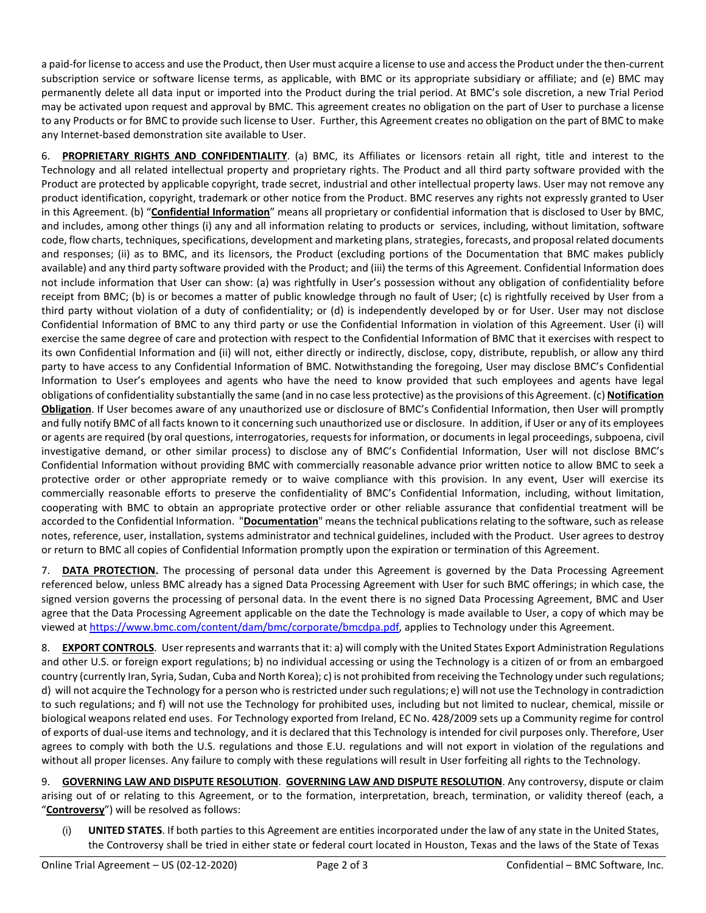a paid-for license to access and use the Product, then User must acquire a license to use and access the Product under the then-current subscription service or software license terms, as applicable, with BMC or its appropriate subsidiary or affiliate; and (e) BMC may permanently delete all data input or imported into the Product during the trial period. At BMC's sole discretion, a new Trial Period may be activated upon request and approval by BMC. This agreement creates no obligation on the part of User to purchase a license to any Products or for BMC to provide such license to User. Further, this Agreement creates no obligation on the part of BMC to make any Internet-based demonstration site available to User.

6. **PROPRIETARY RIGHTS AND CONFIDENTIALITY**. (a) BMC, its Affiliates or licensors retain all right, title and interest to the Technology and all related intellectual property and proprietary rights. The Product and all third party software provided with the Product are protected by applicable copyright, trade secret, industrial and other intellectual property laws. User may not remove any product identification, copyright, trademark or other notice from the Product. BMC reserves any rights not expressly granted to User in this Agreement. (b) "**Confidential Information**" means all proprietary or confidential information that is disclosed to User by BMC, and includes, among other things (i) any and all information relating to products or services, including, without limitation, software code, flow charts, techniques, specifications, development and marketing plans, strategies, forecasts, and proposal related documents and responses; (ii) as to BMC, and its licensors, the Product (excluding portions of the Documentation that BMC makes publicly available) and any third party software provided with the Product; and (iii) the terms of this Agreement. Confidential Information does not include information that User can show: (a) was rightfully in User's possession without any obligation of confidentiality before receipt from BMC; (b) is or becomes a matter of public knowledge through no fault of User; (c) is rightfully received by User from a third party without violation of a duty of confidentiality; or (d) is independently developed by or for User. User may not disclose Confidential Information of BMC to any third party or use the Confidential Information in violation of this Agreement. User (i) will exercise the same degree of care and protection with respect to the Confidential Information of BMC that it exercises with respect to its own Confidential Information and (ii) will not, either directly or indirectly, disclose, copy, distribute, republish, or allow any third party to have access to any Confidential Information of BMC. Notwithstanding the foregoing, User may disclose BMC's Confidential Information to User's employees and agents who have the need to know provided that such employees and agents have legal obligations of confidentiality substantially the same (and in no case less protective) as the provisions of this Agreement. (c) **Notification Obligation**. If User becomes aware of any unauthorized use or disclosure of BMC's Confidential Information, then User will promptly and fully notify BMC of all facts known to it concerning such unauthorized use or disclosure. In addition, if User or any of its employees or agents are required (by oral questions, interrogatories, requests for information, or documents in legal proceedings, subpoena, civil investigative demand, or other similar process) to disclose any of BMC's Confidential Information, User will not disclose BMC's Confidential Information without providing BMC with commercially reasonable advance prior written notice to allow BMC to seek a protective order or other appropriate remedy or to waive compliance with this provision. In any event, User will exercise its commercially reasonable efforts to preserve the confidentiality of BMC's Confidential Information, including, without limitation, cooperating with BMC to obtain an appropriate protective order or other reliable assurance that confidential treatment will be accorded to the Confidential Information. "**Documentation**" means the technical publications relating to the software, such as release notes, reference, user, installation, systems administrator and technical guidelines, included with the Product. User agrees to destroy or return to BMC all copies of Confidential Information promptly upon the expiration or termination of this Agreement.

7. **DATA PROTECTION.** The processing of personal data under this Agreement is governed by the Data Processing Agreement referenced below, unless BMC already has a signed Data Processing Agreement with User for such BMC offerings; in which case, the signed version governs the processing of personal data. In the event there is no signed Data Processing Agreement, BMC and User agree that the Data Processing Agreement applicable on the date the Technology is made available to User, a copy of which may be viewed at [https://www.bmc.com/content/dam/bmc/corporate/bmcdpa.pdf,](https://www.bmc.com/content/dam/bmc/corporate/bmcdpa.pdf) applies to Technology under this Agreement.

8. **EXPORT CONTROLS**. User represents and warrants that it: a) will comply with the United States Export Administration Regulations and other U.S. or foreign export regulations; b) no individual accessing or using the Technology is a citizen of or from an embargoed country (currently Iran, Syria, Sudan, Cuba and North Korea); c) is not prohibited from receiving the Technology under such regulations; d) will not acquire the Technology for a person who is restricted under such regulations; e) will not use the Technology in contradiction to such regulations; and f) will not use the Technology for prohibited uses, including but not limited to nuclear, chemical, missile or biological weapons related end uses. For Technology exported from Ireland, EC No. 428/2009 sets up a Community regime for control of exports of dual-use items and technology, and it is declared that this Technology is intended for civil purposes only. Therefore, User agrees to comply with both the U.S. regulations and those E.U. regulations and will not export in violation of the regulations and without all proper licenses. Any failure to comply with these regulations will result in User forfeiting all rights to the Technology.

9. **GOVERNING LAW AND DISPUTE RESOLUTION**. **GOVERNING LAW AND DISPUTE RESOLUTION**. Any controversy, dispute or claim arising out of or relating to this Agreement, or to the formation, interpretation, breach, termination, or validity thereof (each, a "**Controversy**") will be resolved as follows:

(i) **UNITED STATES**. If both parties to this Agreement are entities incorporated under the law of any state in the United States, the Controversy shall be tried in either state or federal court located in Houston, Texas and the laws of the State of Texas